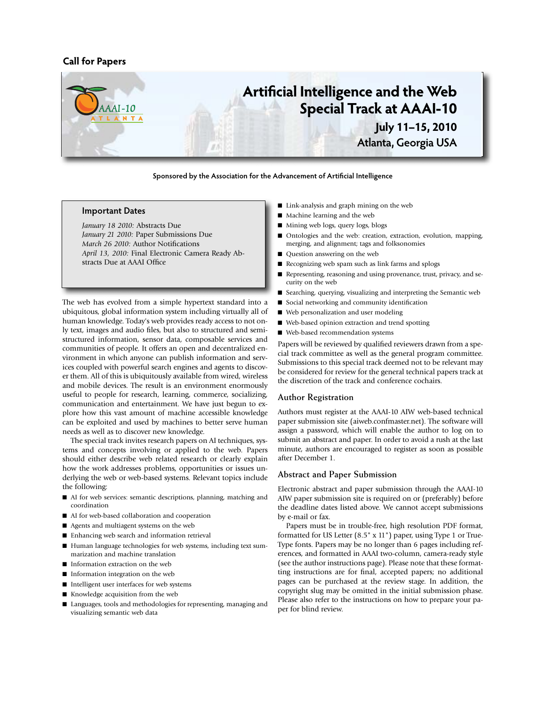# **Call for Papers**



**Sponsored by the Association for the Advancement of Artificial Intelligence**

### **Important Dates**

*January 18 2010:* Abstracts Due *January 21 2010:* Paper Submissions Due *March 26 2010:* Author Notifications *April 13, 2010:* Final Electronic Camera Ready Abstracts Due at AAAI Office

The web has evolved from a simple hypertext standard into a ubiquitous, global information system including virtually all of human knowledge. Today's web provides ready access to not only text, images and audio files, but also to structured and semistructured information, sensor data, composable services and communities of people. It offers an open and decentralized environment in which anyone can publish information and services coupled with powerful search engines and agents to discover them. All of this is ubiquitously available from wired, wireless and mobile devices. The result is an environment enormously useful to people for research, learning, commerce, socializing, communication and entertainment. We have just begun to explore how this vast amount of machine accessible knowledge can be exploited and used by machines to better serve human needs as well as to discover new knowledge.

The special track invites research papers on AI techniques, systems and concepts involving or applied to the web. Papers should either describe web related research or clearly explain how the work addresses problems, opportunities or issues underlying the web or web-based systems. Relevant topics include the following:

- $\blacksquare$  AI for web services: semantic descriptions, planning, matching and coordination
- AI for web-based collaboration and cooperation
- Agents and multiagent systems on the web
- Enhancing web search and information retrieval
- Human language technologies for web systems, including text summarization and machine translation
- **n** Information extraction on the web
- Information integration on the web
- $\blacksquare$  Intelligent user interfaces for web systems
- Knowledge acquisition from the web
- Languages, tools and methodologies for representing, managing and visualizing semantic web data
- Link-analysis and graph mining on the web
- Machine learning and the web
- Mining web logs, query logs, blogs
- Ontologies and the web: creation, extraction, evolution, mapping, merging, and alignment; tags and folksonomies
- Question answering on the web
- Recognizing web spam such as link farms and splogs
- Representing, reasoning and using provenance, trust, privacy, and security on the web
- Searching, querying, visualizing and interpreting the Semantic web
- Social networking and community identification
- Web personalization and user modeling
- $\blacksquare$  Web-based opinion extraction and trend spotting
- Web-based recommendation systems

Papers will be reviewed by qualified reviewers drawn from a special track committee as well as the general program committee. Submissions to this special track deemed not to be relevant may be considered for review for the general technical papers track at the discretion of the track and conference cochairs.

# **Author Registration**

Authors must register at the AAAI-10 AIW web-based technical paper submission site (aiweb.confmaster.net). The software will assign a password, which will enable the author to log on to submit an abstract and paper. In order to avoid a rush at the last minute, authors are encouraged to register as soon as possible after December 1.

#### **Abstract and Paper Submission**

Electronic abstract and paper submission through the AAAI-10 AIW paper submission site is required on or (preferably) before the deadline dates listed above. We cannot accept submissions by e-mail or fax.

Papers must be in trouble-free, high resolution PDF format, formatted for US Letter (8.5" x 11") paper, using Type 1 or True-Type fonts. Papers may be no longer than 6 pages including references, and formatted in AAAI two-column, camera-ready style (see the author instructions page). Please note that these formatting instructions are for final, accepted papers; no additional pages can be purchased at the review stage. In addition, the copyright slug may be omitted in the initial submission phase. Please also refer to the instructions on how to prepare your paper for blind review.